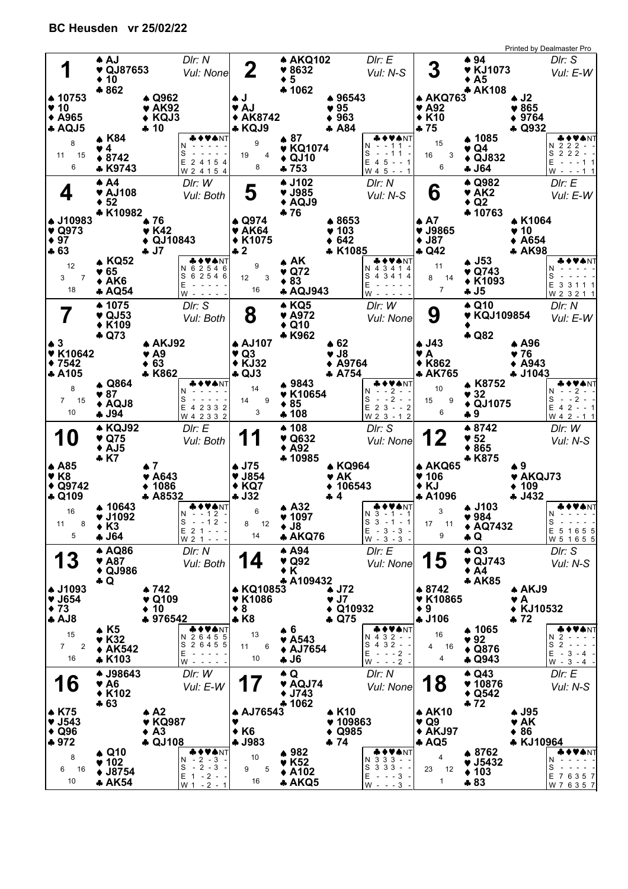